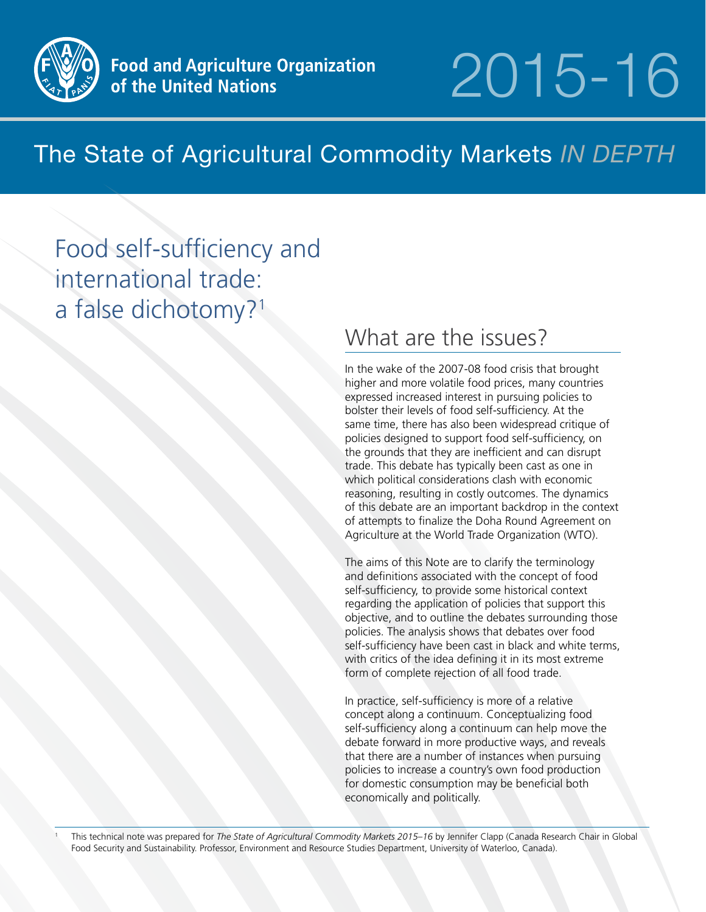

# 2015-16

## The State of Agricultural Commodity Markets *IN DEPTH*

Food self-sufficiency and international trade: a false dichotomy?<sup>1</sup>

## What are the issues?

In the wake of the 2007-08 food crisis that brought higher and more volatile food prices, many countries expressed increased interest in pursuing policies to bolster their levels of food self-sufficiency. At the same time, there has also been widespread critique of policies designed to support food self-sufficiency, on the grounds that they are inefficient and can disrupt trade. This debate has typically been cast as one in which political considerations clash with economic reasoning, resulting in costly outcomes. The dynamics of this debate are an important backdrop in the context of attempts to finalize the Doha Round Agreement on Agriculture at the World Trade Organization (WTO).

The aims of this Note are to clarify the terminology and definitions associated with the concept of food self-sufficiency, to provide some historical context regarding the application of policies that support this objective, and to outline the debates surrounding those policies. The analysis shows that debates over food self-sufficiency have been cast in black and white terms, with critics of the idea defining it in its most extreme form of complete rejection of all food trade.

In practice, self-sufficiency is more of a relative concept along a continuum. Conceptualizing food self-sufficiency along a continuum can help move the debate forward in more productive ways, and reveals that there are a number of instances when pursuing policies to increase a country's own food production for domestic consumption may be beneficial both economically and politically.

<sup>1</sup> This technical note was prepared for *The State of Agricultural Commodity Markets 2015–16* by Jennifer Clapp (Canada Research Chair in Global Food Security and Sustainability. Professor, Environment and Resource Studies Department, University of Waterloo, Canada).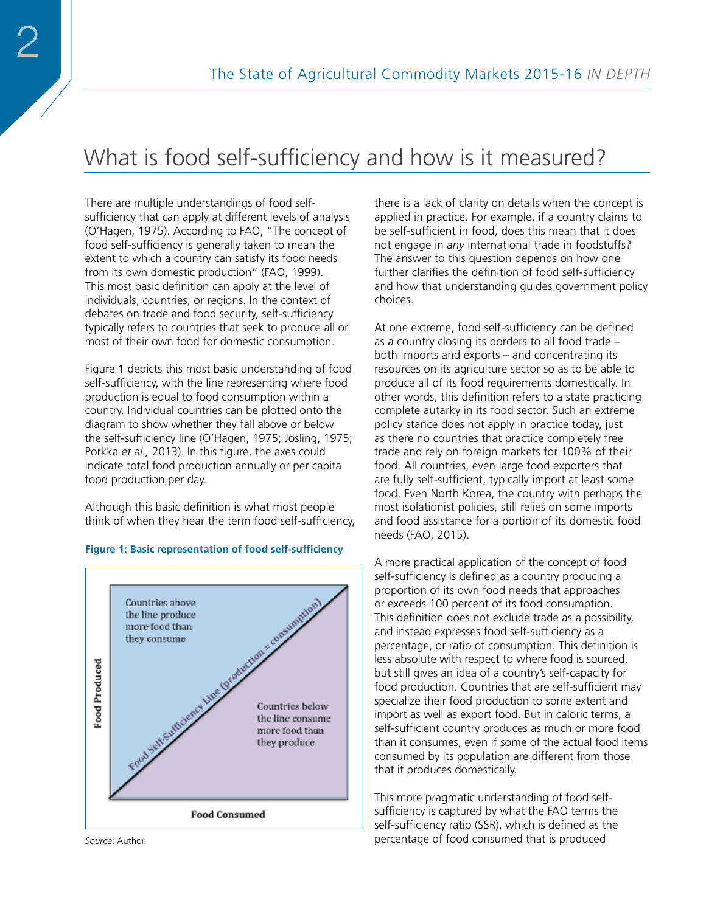## What is food self-sufficiency and how is it measured?

There are multiple understandings of food selfsufficiency that can apply at different levels of analysis (O'Hagen, 1975). According to FAO, "The concept of food self-sufficiency is generally taken to mean the extent to which a country can satisfy its food needs from its own domestic production" (FAO, 1999). This most basic definition can apply at the level of individuals, countries, or regions. In the context of debates on trade and food security, self-sufficiency typically refers to countries that seek to produce all or most of their own food for domestic consumption.

Figure 1 depicts this most basic understanding of food self-sufficiency, with the line representing where food production is equal to food consumption within a country. Individual countries can be plotted onto the diagram to show whether they fall above or below the self-sufficiency line (O'Hagen, 1975; Josling, 1975; Porkka *et al.,* 2013). In this figure, the axes could indicate total food production annually or per capita food production per day.

Although this basic definition is what most people think of when they hear the term food self-sufficiency,





*Source*: Author.

there is a lack of clarity on details when the concept is applied in practice. For example, if a country claims to be self-sufficient in food, does this mean that it does not engage in *any* international trade in foodstuffs? The answer to this question depends on how one further clarifies the definition of food self-sufficiency and how that understanding guides government policy choices.

At one extreme, food self-sufficiency can be defined as a country closing its borders to all food trade – both imports and exports – and concentrating its resources on its agriculture sector so as to be able to produce all of its food requirements domestically. In other words, this definition refers to a state practicing complete autarky in its food sector. Such an extreme policy stance does not apply in practice today, just as there no countries that practice completely free trade and rely on foreign markets for 100% of their food. All countries, even large food exporters that are fully self-sufficient, typically import at least some food. Even North Korea, the country with perhaps the most isolationist policies, still relies on some imports and food assistance for a portion of its domestic food needs (FAO, 2015).

A more practical application of the concept of food self-sufficiency is defined as a country producing a proportion of its own food needs that approaches or exceeds 100 percent of its food consumption. This definition does not exclude trade as a possibility, and instead expresses food self-sufficiency as a percentage, or ratio of consumption. This definition is less absolute with respect to where food is sourced, but still gives an idea of a country's self-capacity for food production. Countries that are self-sufficient may specialize their food production to some extent and import as well as export food. But in caloric terms, a self-sufficient country produces as much or more food than it consumes, even if some of the actual food items consumed by its population are different from those that it produces domestically.

This more pragmatic understanding of food selfsufficiency is captured by what the FAO terms the self-sufficiency ratio (SSR), which is defined as the percentage of food consumed that is produced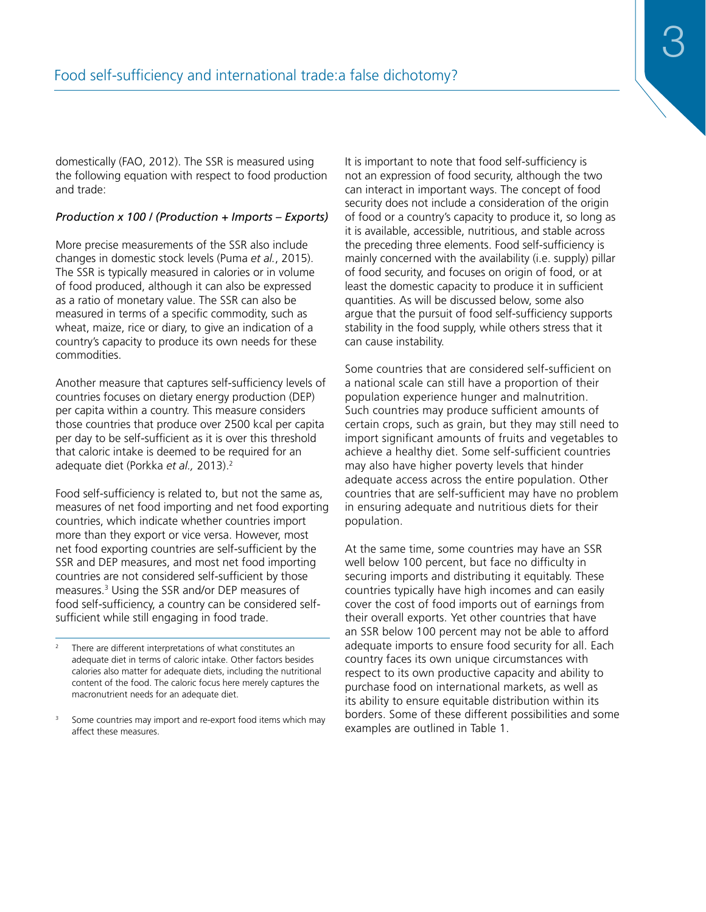domestically (FAO, 2012). The SSR is measured using the following equation with respect to food production and trade:

#### *Production x 100 / (Production + Imports – Exports)*

More precise measurements of the SSR also include changes in domestic stock levels (Puma *et al.*, 2015). The SSR is typically measured in calories or in volume of food produced, although it can also be expressed as a ratio of monetary value. The SSR can also be measured in terms of a specific commodity, such as wheat, maize, rice or diary, to give an indication of a country's capacity to produce its own needs for these commodities.

Another measure that captures self-sufficiency levels of countries focuses on dietary energy production (DEP) per capita within a country. This measure considers those countries that produce over 2500 kcal per capita per day to be self-sufficient as it is over this threshold that caloric intake is deemed to be required for an adequate diet (Porkka *et al.,* 2013).2

Food self-sufficiency is related to, but not the same as, measures of net food importing and net food exporting countries, which indicate whether countries import more than they export or vice versa. However, most net food exporting countries are self-sufficient by the SSR and DEP measures, and most net food importing countries are not considered self-sufficient by those measures.3 Using the SSR and/or DEP measures of food self-sufficiency, a country can be considered selfsufficient while still engaging in food trade.

It is important to note that food self-sufficiency is not an expression of food security, although the two can interact in important ways. The concept of food security does not include a consideration of the origin of food or a country's capacity to produce it, so long as it is available, accessible, nutritious, and stable across the preceding three elements. Food self-sufficiency is mainly concerned with the availability (i.e. supply) pillar of food security, and focuses on origin of food, or at least the domestic capacity to produce it in sufficient quantities. As will be discussed below, some also argue that the pursuit of food self-sufficiency supports stability in the food supply, while others stress that it can cause instability.

Some countries that are considered self-sufficient on a national scale can still have a proportion of their population experience hunger and malnutrition. Such countries may produce sufficient amounts of certain crops, such as grain, but they may still need to import significant amounts of fruits and vegetables to achieve a healthy diet. Some self-sufficient countries may also have higher poverty levels that hinder adequate access across the entire population. Other countries that are self-sufficient may have no problem in ensuring adequate and nutritious diets for their population.

At the same time, some countries may have an SSR well below 100 percent, but face no difficulty in securing imports and distributing it equitably. These countries typically have high incomes and can easily cover the cost of food imports out of earnings from their overall exports. Yet other countries that have an SSR below 100 percent may not be able to afford adequate imports to ensure food security for all. Each country faces its own unique circumstances with respect to its own productive capacity and ability to purchase food on international markets, as well as its ability to ensure equitable distribution within its borders. Some of these different possibilities and some examples are outlined in Table 1.

There are different interpretations of what constitutes an adequate diet in terms of caloric intake. Other factors besides calories also matter for adequate diets, including the nutritional content of the food. The caloric focus here merely captures the macronutrient needs for an adequate diet.

<sup>&</sup>lt;sup>3</sup> Some countries may import and re-export food items which may affect these measures.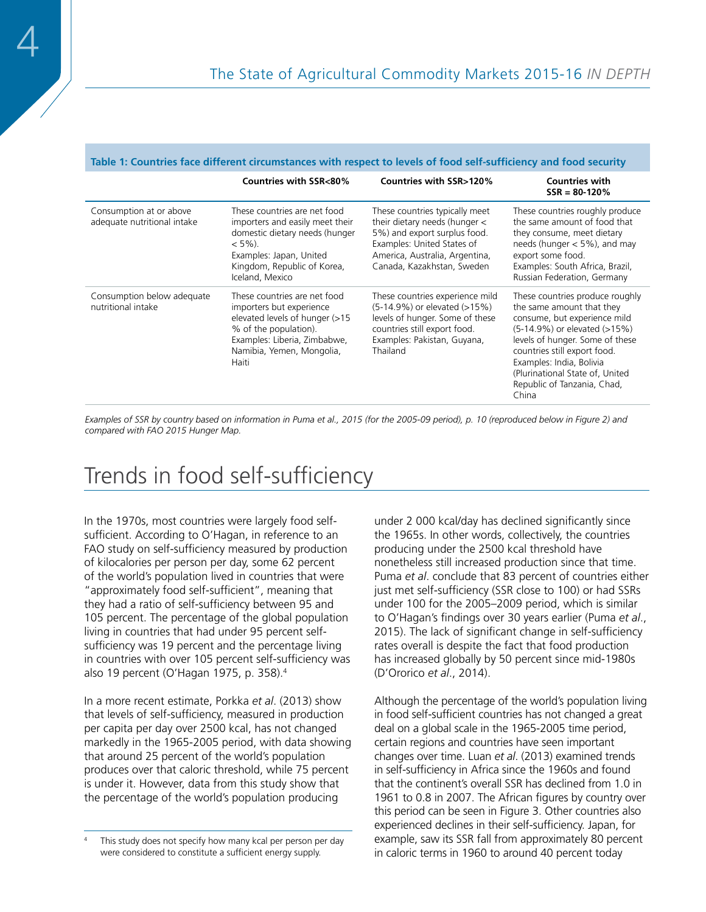|  |  |  | Table 1: Countries face different circumstances with respect to levels of food self-sufficiency and food security |
|--|--|--|-------------------------------------------------------------------------------------------------------------------|
|--|--|--|-------------------------------------------------------------------------------------------------------------------|

|                                                        | Countries with SSR<80%                                                                                                                                                                       | Countries with SSR>120%                                                                                                                                                                       | <b>Countries with</b><br>$SSR = 80-120%$                                                                                                                                                                                                                                                               |
|--------------------------------------------------------|----------------------------------------------------------------------------------------------------------------------------------------------------------------------------------------------|-----------------------------------------------------------------------------------------------------------------------------------------------------------------------------------------------|--------------------------------------------------------------------------------------------------------------------------------------------------------------------------------------------------------------------------------------------------------------------------------------------------------|
| Consumption at or above<br>adequate nutritional intake | These countries are net food<br>importers and easily meet their<br>domestic dietary needs (hunger<br>$< 5\%$ ).<br>Examples: Japan, United<br>Kingdom, Republic of Korea,<br>Iceland, Mexico | These countries typically meet<br>their dietary needs (hunger <<br>5%) and export surplus food.<br>Examples: United States of<br>America, Australia, Argentina,<br>Canada, Kazakhstan, Sweden | These countries roughly produce<br>the same amount of food that<br>they consume, meet dietary<br>needs (hunger $<$ 5%), and may<br>export some food.<br>Examples: South Africa, Brazil,<br>Russian Federation, Germany                                                                                 |
| Consumption below adequate<br>nutritional intake       | These countries are net food<br>importers but experience<br>elevated levels of hunger (>15<br>% of the population).<br>Examples: Liberia, Zimbabwe,<br>Namibia, Yemen, Mongolia,<br>Haiti    | These countries experience mild<br>(5-14.9%) or elevated (>15%)<br>levels of hunger. Some of these<br>countries still export food.<br>Examples: Pakistan, Guyana,<br>Thailand                 | These countries produce roughly<br>the same amount that they<br>consume, but experience mild<br>(5-14.9%) or elevated (>15%)<br>levels of hunger. Some of these<br>countries still export food.<br>Examples: India, Bolivia<br>(Plurinational State of, United<br>Republic of Tanzania, Chad,<br>China |

*Examples of SSR by country based on information in Puma et al., 2015 (for the 2005-09 period), p. 10 (reproduced below in Figure 2) and compared with FAO 2015 Hunger Map.*

## Trends in food self-sufficiency

In the 1970s, most countries were largely food selfsufficient. According to O'Hagan, in reference to an FAO study on self-sufficiency measured by production of kilocalories per person per day, some 62 percent of the world's population lived in countries that were "approximately food self-sufficient", meaning that they had a ratio of self-sufficiency between 95 and 105 percent. The percentage of the global population living in countries that had under 95 percent selfsufficiency was 19 percent and the percentage living in countries with over 105 percent self-sufficiency was also 19 percent (O'Hagan 1975, p. 358).4

In a more recent estimate, Porkka *et al*. (2013) show that levels of self-sufficiency, measured in production per capita per day over 2500 kcal, has not changed markedly in the 1965-2005 period, with data showing that around 25 percent of the world's population produces over that caloric threshold, while 75 percent is under it. However, data from this study show that the percentage of the world's population producing

under 2 000 kcal/day has declined significantly since the 1965s. In other words, collectively, the countries producing under the 2500 kcal threshold have nonetheless still increased production since that time. Puma *et al*. conclude that 83 percent of countries either just met self-sufficiency (SSR close to 100) or had SSRs under 100 for the 2005–2009 period, which is similar to O'Hagan's findings over 30 years earlier (Puma *et al*., 2015). The lack of significant change in self-sufficiency rates overall is despite the fact that food production has increased globally by 50 percent since mid-1980s (D'Ororico *et al*., 2014).

Although the percentage of the world's population living in food self-sufficient countries has not changed a great deal on a global scale in the 1965-2005 time period, certain regions and countries have seen important changes over time. Luan *et al*. (2013) examined trends in self-sufficiency in Africa since the 1960s and found that the continent's overall SSR has declined from 1.0 in 1961 to 0.8 in 2007. The African figures by country over this period can be seen in Figure 3. Other countries also experienced declines in their self-sufficiency. Japan, for example, saw its SSR fall from approximately 80 percent in caloric terms in 1960 to around 40 percent today

This study does not specify how many kcal per person per day were considered to constitute a sufficient energy supply.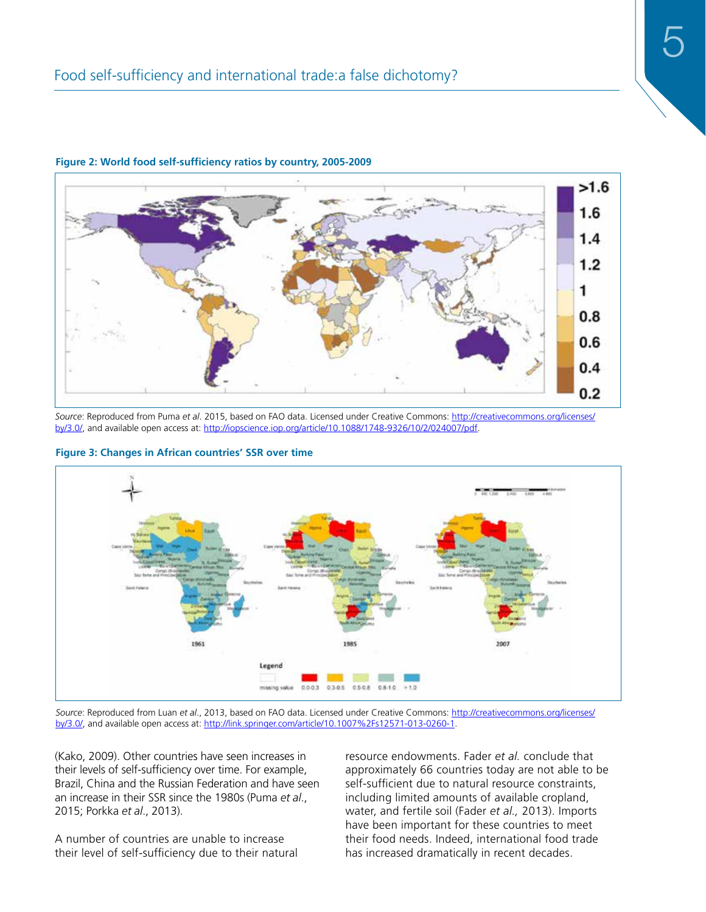![](_page_4_Figure_1.jpeg)

#### **Figure 2: World food self-sufficiency ratios by country, 2005-2009**

*Source*: Reproduced from Puma *et al*. 2015, based on FAO data. Licensed under Creative Commons: http://creativecommons.org/licenses/ by/3.0/, and available open access at: http://iopscience.iop.org/article/10.1088/1748-9326/10/2/024007/pdf.

![](_page_4_Figure_4.jpeg)

#### **Figure 3: Changes in African countries' SSR over time**

*Source*: Reproduced from Luan *et al*., 2013, based on FAO data. Licensed under Creative Commons: http://creativecommons.org/licenses/ by/3.0/, and available open access at: http://link.springer.com/article/10.1007%2Fs12571-013-0260-1.

(Kako, 2009). Other countries have seen increases in their levels of self-sufficiency over time. For example, Brazil, China and the Russian Federation and have seen an increase in their SSR since the 1980s (Puma *et al*., 2015; Porkka *et al*., 2013).

A number of countries are unable to increase their level of self-sufficiency due to their natural

resource endowments. Fader *et al.* conclude that approximately 66 countries today are not able to be self-sufficient due to natural resource constraints, including limited amounts of available cropland, water, and fertile soil (Fader *et al.,* 2013). Imports have been important for these countries to meet their food needs. Indeed, international food trade has increased dramatically in recent decades.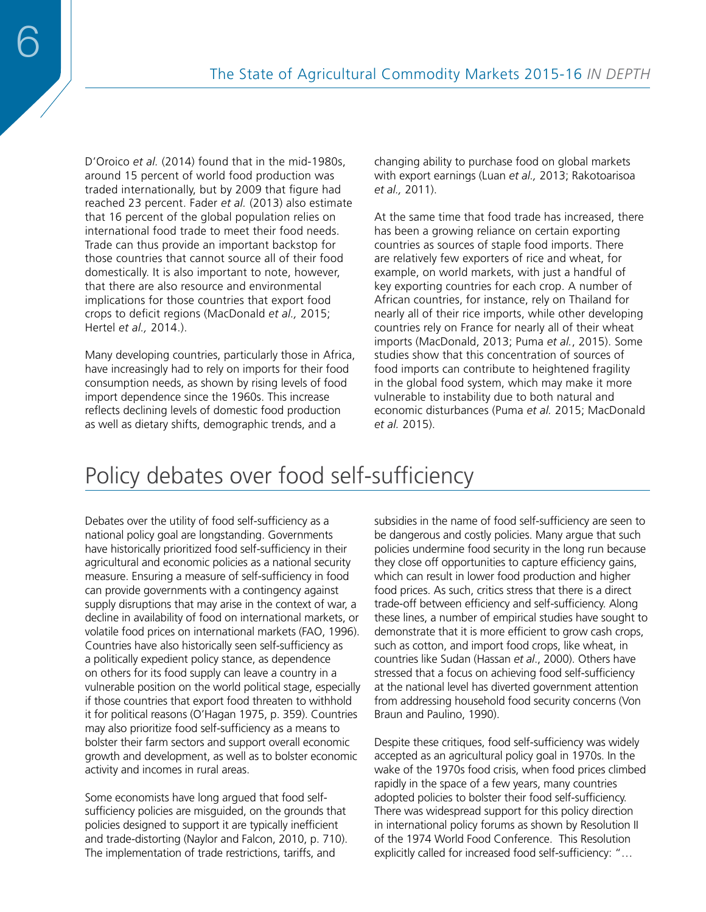D'Oroico *et al.* (2014) found that in the mid-1980s, around 15 percent of world food production was traded internationally, but by 2009 that figure had reached 23 percent. Fader *et al.* (2013) also estimate that 16 percent of the global population relies on international food trade to meet their food needs. Trade can thus provide an important backstop for those countries that cannot source all of their food domestically. It is also important to note, however, that there are also resource and environmental implications for those countries that export food crops to deficit regions (MacDonald *et al.,* 2015; Hertel *et al.,* 2014.).

Many developing countries, particularly those in Africa, have increasingly had to rely on imports for their food consumption needs, as shown by rising levels of food import dependence since the 1960s. This increase reflects declining levels of domestic food production as well as dietary shifts, demographic trends, and a

changing ability to purchase food on global markets with export earnings (Luan *et al.,* 2013; Rakotoarisoa *et al.,* 2011).

At the same time that food trade has increased, there has been a growing reliance on certain exporting countries as sources of staple food imports. There are relatively few exporters of rice and wheat, for example, on world markets, with just a handful of key exporting countries for each crop. A number of African countries, for instance, rely on Thailand for nearly all of their rice imports, while other developing countries rely on France for nearly all of their wheat imports (MacDonald, 2013; Puma *et al.*, 2015). Some studies show that this concentration of sources of food imports can contribute to heightened fragility in the global food system, which may make it more vulnerable to instability due to both natural and economic disturbances (Puma *et al.* 2015; MacDonald *et al.* 2015).

## Policy debates over food self-sufficiency

Debates over the utility of food self-sufficiency as a national policy goal are longstanding. Governments have historically prioritized food self-sufficiency in their agricultural and economic policies as a national security measure. Ensuring a measure of self-sufficiency in food can provide governments with a contingency against supply disruptions that may arise in the context of war, a decline in availability of food on international markets, or volatile food prices on international markets (FAO, 1996). Countries have also historically seen self-sufficiency as a politically expedient policy stance, as dependence on others for its food supply can leave a country in a vulnerable position on the world political stage, especially if those countries that export food threaten to withhold it for political reasons (O'Hagan 1975, p. 359). Countries may also prioritize food self-sufficiency as a means to bolster their farm sectors and support overall economic growth and development, as well as to bolster economic activity and incomes in rural areas.

Some economists have long argued that food selfsufficiency policies are misguided, on the grounds that policies designed to support it are typically inefficient and trade-distorting (Naylor and Falcon, 2010, p. 710). The implementation of trade restrictions, tariffs, and

subsidies in the name of food self-sufficiency are seen to be dangerous and costly policies. Many argue that such policies undermine food security in the long run because they close off opportunities to capture efficiency gains, which can result in lower food production and higher food prices. As such, critics stress that there is a direct trade-off between efficiency and self-sufficiency. Along these lines, a number of empirical studies have sought to demonstrate that it is more efficient to grow cash crops, such as cotton, and import food crops, like wheat, in countries like Sudan (Hassan *et al*., 2000). Others have stressed that a focus on achieving food self-sufficiency at the national level has diverted government attention from addressing household food security concerns (Von Braun and Paulino, 1990).

Despite these critiques, food self-sufficiency was widely accepted as an agricultural policy goal in 1970s. In the wake of the 1970s food crisis, when food prices climbed rapidly in the space of a few years, many countries adopted policies to bolster their food self-sufficiency. There was widespread support for this policy direction in international policy forums as shown by Resolution II of the 1974 World Food Conference. This Resolution explicitly called for increased food self-sufficiency: "…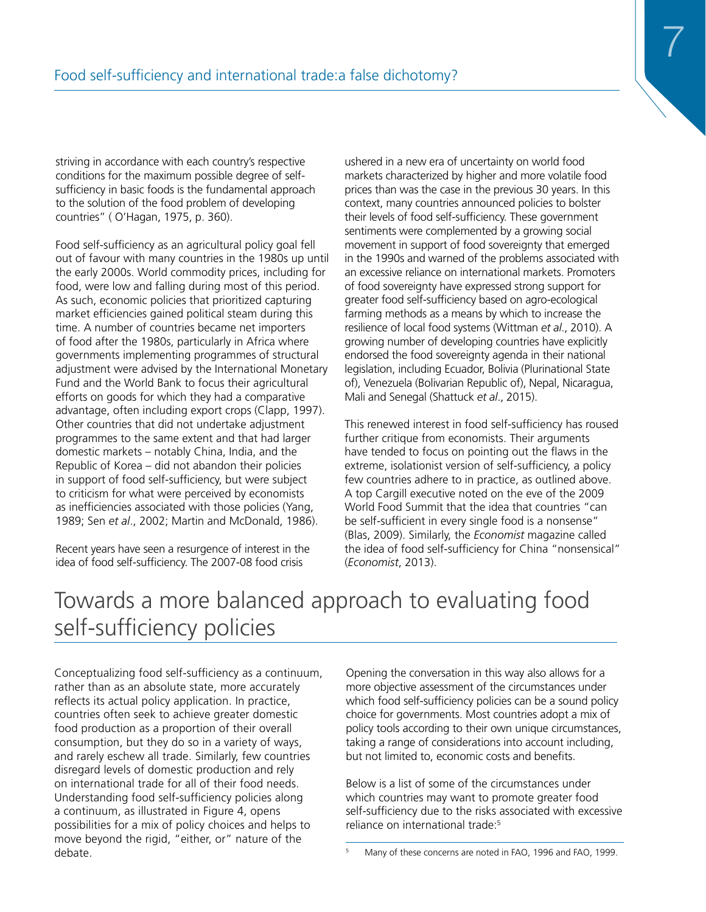striving in accordance with each country's respective conditions for the maximum possible degree of selfsufficiency in basic foods is the fundamental approach to the solution of the food problem of developing countries" ( O'Hagan, 1975, p. 360).

Food self-sufficiency as an agricultural policy goal fell out of favour with many countries in the 1980s up until the early 2000s. World commodity prices, including for food, were low and falling during most of this period. As such, economic policies that prioritized capturing market efficiencies gained political steam during this time. A number of countries became net importers of food after the 1980s, particularly in Africa where governments implementing programmes of structural adjustment were advised by the International Monetary Fund and the World Bank to focus their agricultural efforts on goods for which they had a comparative advantage, often including export crops (Clapp, 1997). Other countries that did not undertake adjustment programmes to the same extent and that had larger domestic markets – notably China, India, and the Republic of Korea – did not abandon their policies in support of food self-sufficiency, but were subject to criticism for what were perceived by economists as inefficiencies associated with those policies (Yang, 1989; Sen *et al*., 2002; Martin and McDonald, 1986).

Recent years have seen a resurgence of interest in the idea of food self-sufficiency. The 2007-08 food crisis

ushered in a new era of uncertainty on world food markets characterized by higher and more volatile food prices than was the case in the previous 30 years. In this context, many countries announced policies to bolster their levels of food self-sufficiency. These government sentiments were complemented by a growing social movement in support of food sovereignty that emerged in the 1990s and warned of the problems associated with an excessive reliance on international markets. Promoters of food sovereignty have expressed strong support for greater food self-sufficiency based on agro-ecological farming methods as a means by which to increase the resilience of local food systems (Wittman *et al*., 2010). A growing number of developing countries have explicitly endorsed the food sovereignty agenda in their national legislation, including Ecuador, Bolivia (Plurinational State of), Venezuela (Bolivarian Republic of), Nepal, Nicaragua, Mali and Senegal (Shattuck *et al*., 2015).

7

This renewed interest in food self-sufficiency has roused further critique from economists. Their arguments have tended to focus on pointing out the flaws in the extreme, isolationist version of self-sufficiency, a policy few countries adhere to in practice, as outlined above. A top Cargill executive noted on the eve of the 2009 World Food Summit that the idea that countries "can be self-sufficient in every single food is a nonsense" (Blas, 2009). Similarly, the *Economist* magazine called the idea of food self-sufficiency for China "nonsensical" (*Economist*, 2013).

## Towards a more balanced approach to evaluating food self-sufficiency policies

Conceptualizing food self-sufficiency as a continuum, rather than as an absolute state, more accurately reflects its actual policy application. In practice, countries often seek to achieve greater domestic food production as a proportion of their overall consumption, but they do so in a variety of ways, and rarely eschew all trade. Similarly, few countries disregard levels of domestic production and rely on international trade for all of their food needs. Understanding food self-sufficiency policies along a continuum, as illustrated in Figure 4, opens possibilities for a mix of policy choices and helps to move beyond the rigid, "either, or" nature of the debate.

Opening the conversation in this way also allows for a more objective assessment of the circumstances under which food self-sufficiency policies can be a sound policy choice for governments. Most countries adopt a mix of policy tools according to their own unique circumstances, taking a range of considerations into account including, but not limited to, economic costs and benefits.

Below is a list of some of the circumstances under which countries may want to promote greater food self-sufficiency due to the risks associated with excessive reliance on international trade:5

<sup>5</sup> Many of these concerns are noted in FAO, 1996 and FAO, 1999.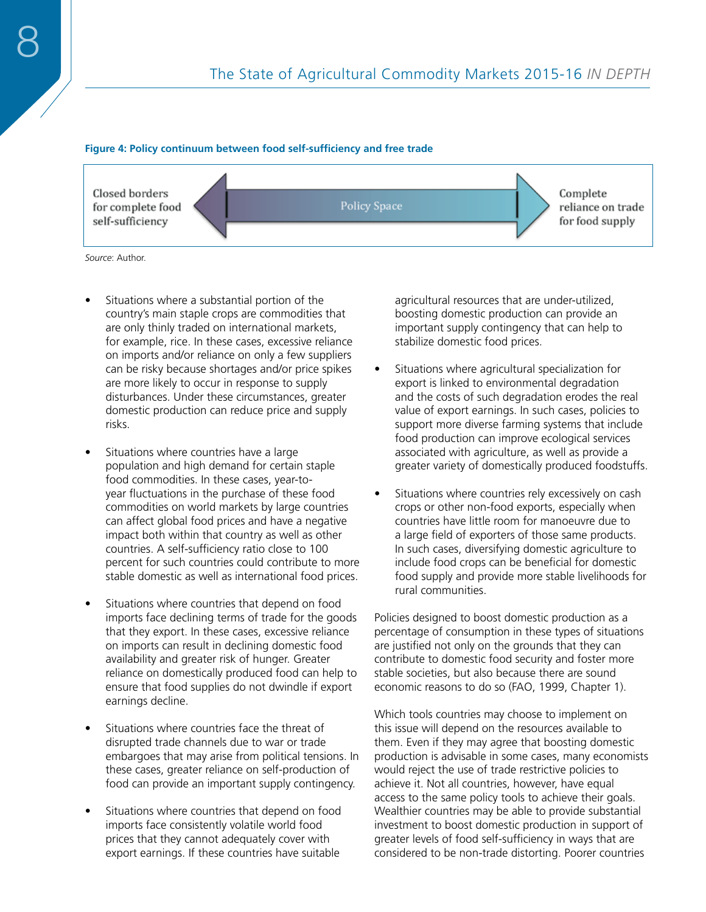#### **Figure 4: Policy continuum between food self-sufficiency and free trade**

![](_page_7_Figure_3.jpeg)

*Source*: Author.

- Situations where a substantial portion of the country's main staple crops are commodities that are only thinly traded on international markets, for example, rice. In these cases, excessive reliance on imports and/or reliance on only a few suppliers can be risky because shortages and/or price spikes are more likely to occur in response to supply disturbances. Under these circumstances, greater domestic production can reduce price and supply risks.
- Situations where countries have a large population and high demand for certain staple food commodities. In these cases, year-toyear fluctuations in the purchase of these food commodities on world markets by large countries can affect global food prices and have a negative impact both within that country as well as other countries. A self-sufficiency ratio close to 100 percent for such countries could contribute to more stable domestic as well as international food prices.
- Situations where countries that depend on food imports face declining terms of trade for the goods that they export. In these cases, excessive reliance on imports can result in declining domestic food availability and greater risk of hunger. Greater reliance on domestically produced food can help to ensure that food supplies do not dwindle if export earnings decline.
- Situations where countries face the threat of disrupted trade channels due to war or trade embargoes that may arise from political tensions. In these cases, greater reliance on self-production of food can provide an important supply contingency.
- Situations where countries that depend on food imports face consistently volatile world food prices that they cannot adequately cover with export earnings. If these countries have suitable

agricultural resources that are under-utilized, boosting domestic production can provide an important supply contingency that can help to stabilize domestic food prices.

- Situations where agricultural specialization for export is linked to environmental degradation and the costs of such degradation erodes the real value of export earnings. In such cases, policies to support more diverse farming systems that include food production can improve ecological services associated with agriculture, as well as provide a greater variety of domestically produced foodstuffs.
- Situations where countries rely excessively on cash crops or other non-food exports, especially when countries have little room for manoeuvre due to a large field of exporters of those same products. In such cases, diversifying domestic agriculture to include food crops can be beneficial for domestic food supply and provide more stable livelihoods for rural communities.

Policies designed to boost domestic production as a percentage of consumption in these types of situations are justified not only on the grounds that they can contribute to domestic food security and foster more stable societies, but also because there are sound economic reasons to do so (FAO, 1999, Chapter 1).

Which tools countries may choose to implement on this issue will depend on the resources available to them. Even if they may agree that boosting domestic production is advisable in some cases, many economists would reject the use of trade restrictive policies to achieve it. Not all countries, however, have equal access to the same policy tools to achieve their goals. Wealthier countries may be able to provide substantial investment to boost domestic production in support of greater levels of food self-sufficiency in ways that are considered to be non-trade distorting. Poorer countries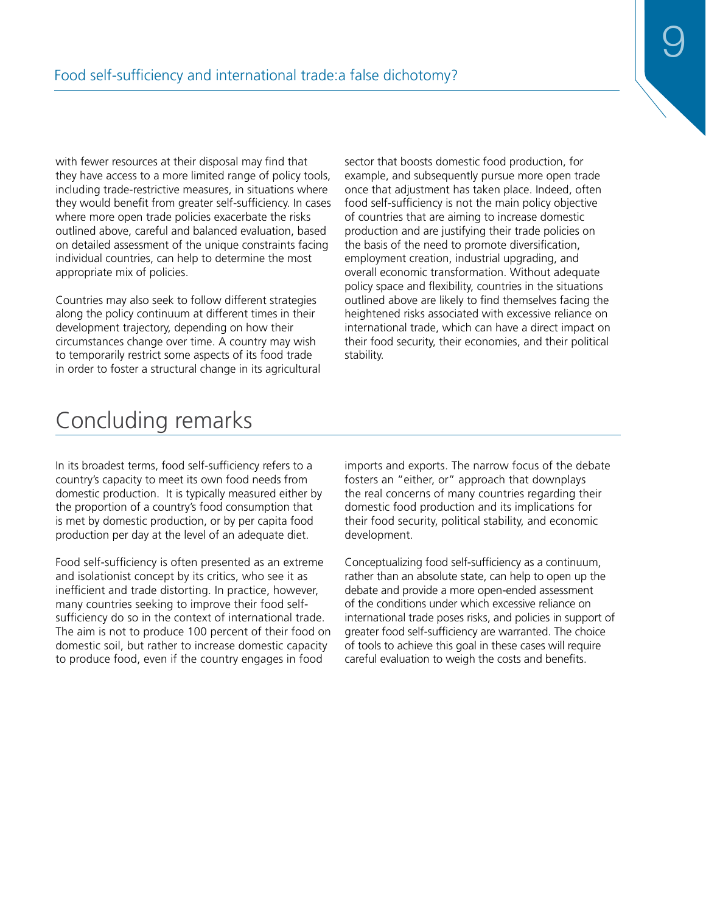with fewer resources at their disposal may find that they have access to a more limited range of policy tools, including trade-restrictive measures, in situations where they would benefit from greater self-sufficiency. In cases where more open trade policies exacerbate the risks outlined above, careful and balanced evaluation, based on detailed assessment of the unique constraints facing individual countries, can help to determine the most appropriate mix of policies.

Countries may also seek to follow different strategies along the policy continuum at different times in their development trajectory, depending on how their circumstances change over time. A country may wish to temporarily restrict some aspects of its food trade in order to foster a structural change in its agricultural

sector that boosts domestic food production, for example, and subsequently pursue more open trade once that adjustment has taken place. Indeed, often food self-sufficiency is not the main policy objective of countries that are aiming to increase domestic production and are justifying their trade policies on the basis of the need to promote diversification, employment creation, industrial upgrading, and overall economic transformation. Without adequate policy space and flexibility, countries in the situations outlined above are likely to find themselves facing the heightened risks associated with excessive reliance on international trade, which can have a direct impact on their food security, their economies, and their political stability.

## Concluding remarks

In its broadest terms, food self-sufficiency refers to a country's capacity to meet its own food needs from domestic production. It is typically measured either by the proportion of a country's food consumption that is met by domestic production, or by per capita food production per day at the level of an adequate diet.

Food self-sufficiency is often presented as an extreme and isolationist concept by its critics, who see it as inefficient and trade distorting. In practice, however, many countries seeking to improve their food selfsufficiency do so in the context of international trade. The aim is not to produce 100 percent of their food on domestic soil, but rather to increase domestic capacity to produce food, even if the country engages in food

imports and exports. The narrow focus of the debate fosters an "either, or" approach that downplays the real concerns of many countries regarding their domestic food production and its implications for their food security, political stability, and economic development.

Conceptualizing food self-sufficiency as a continuum, rather than an absolute state, can help to open up the debate and provide a more open-ended assessment of the conditions under which excessive reliance on international trade poses risks, and policies in support of greater food self-sufficiency are warranted. The choice of tools to achieve this goal in these cases will require careful evaluation to weigh the costs and benefits.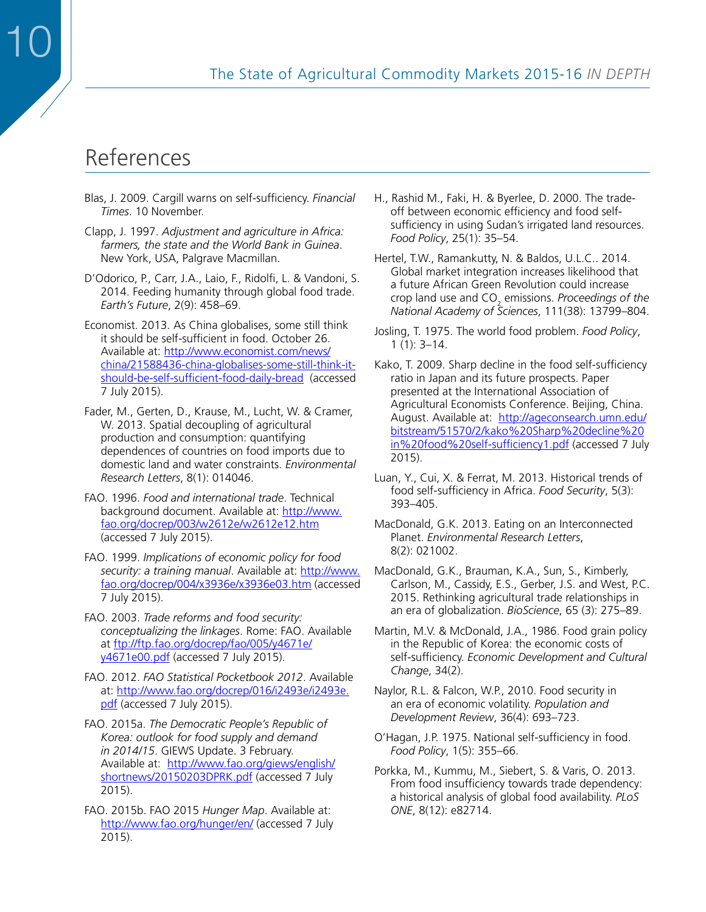### References

- Blas, J. 2009. Cargill warns on self-sufficiency. *Financial Times*. 10 November.
- Clapp, J. 1997. *Adjustment and agriculture in Africa: farmers, the state and the World Bank in Guinea*. New York, USA, Palgrave Macmillan.
- D'Odorico, P., Carr, J.A., Laio, F., Ridolfi, L. & Vandoni, S. 2014. Feeding humanity through global food trade. *Earth's Future*, 2(9): 458–69.
- Economist. 2013. As China globalises, some still think it should be self-sufficient in food. October 26. Available at: http://www.economist.com/news/ china/21588436-china-globalises-some-still-think-itshould-be-self-sufficient-food-daily-bread (accessed 7 July 2015).
- Fader, M., Gerten, D., Krause, M., Lucht, W. & Cramer, W. 2013. Spatial decoupling of agricultural production and consumption: quantifying dependences of countries on food imports due to domestic land and water constraints. *Environmental Research Letters*, 8(1): 014046.
- FAO. 1996. *Food and international trade*. Technical background document. Available at: http://www. fao.org/docrep/003/w2612e/w2612e12.htm (accessed 7 July 2015).
- FAO. 1999. *Implications of economic policy for food security: a training manual*. Available at: http://www. fao.org/docrep/004/x3936e/x3936e03.htm (accessed 7 July 2015).
- FAO. 2003. *Trade reforms and food security: conceptualizing the linkages*. Rome: FAO. Available at ftp://ftp.fao.org/docrep/fao/005/y4671e/ y4671e00.pdf (accessed 7 July 2015).
- FAO. 2012. *FAO Statistical Pocketbook 2012*. Available at: http://www.fao.org/docrep/016/i2493e/i2493e. pdf (accessed 7 July 2015).
- FAO. 2015a. *The Democratic People's Republic of Korea: outlook for food supply and demand in 2014/15*. GIEWS Update. 3 February. Available at: http://www.fao.org/giews/english/ shortnews/20150203DPRK.pdf (accessed 7 July 2015).
- FAO. 2015b. FAO 2015 *Hunger Map*. Available at: http://www.fao.org/hunger/en/ (accessed 7 July 2015).
- H., Rashid M., Faki, H. & Byerlee, D. 2000. The tradeoff between economic efficiency and food selfsufficiency in using Sudan's irrigated land resources. *Food Policy*, 25(1): 35–54.
- Hertel, T.W., Ramankutty, N. & Baldos, U.L.C.. 2014. Global market integration increases likelihood that a future African Green Revolution could increase crop land use and CO<sub>2</sub> emissions. *Proceedings of the National Academy of Sciences*, 111(38): 13799–804.
- Josling, T. 1975. The world food problem. *Food Policy*, 1 (1): 3–14.
- Kako, T. 2009. Sharp decline in the food self-sufficiency ratio in Japan and its future prospects. Paper presented at the International Association of Agricultural Economists Conference. Beijing, China. August. Available at: http://ageconsearch.umn.edu/ bitstream/51570/2/kako%20Sharp%20decline%20 in%20food%20self-sufficiency1.pdf (accessed 7 July 2015).
- Luan, Y., Cui, X. & Ferrat, M. 2013. Historical trends of food self-sufficiency in Africa. *Food Security*, 5(3): 393–405.
- MacDonald, G.K. 2013. Eating on an Interconnected Planet. *Environmental Research Letters*, 8(2): 021002.
- MacDonald, G.K., Brauman, K.A., Sun, S., Kimberly, Carlson, M., Cassidy, E.S., Gerber, J.S. and West, P.C. 2015. Rethinking agricultural trade relationships in an era of globalization. *BioScience*, 65 (3): 275–89.
- Martin, M.V. & McDonald, J.A., 1986. Food grain policy in the Republic of Korea: the economic costs of self-sufficiency. *Economic Development and Cultural Change*, 34(2).
- Naylor, R.L. & Falcon, W.P., 2010. Food security in an era of economic volatility. *Population and Development Review*, 36(4): 693–723.
- O'Hagan, J.P. 1975. National self-sufficiency in food. *Food Policy*, 1(5): 355–66.
- Porkka, M., Kummu, M., Siebert, S. & Varis, O. 2013. From food insufficiency towards trade dependency: a historical analysis of global food availability. *PLoS ONE*, 8(12): e82714.